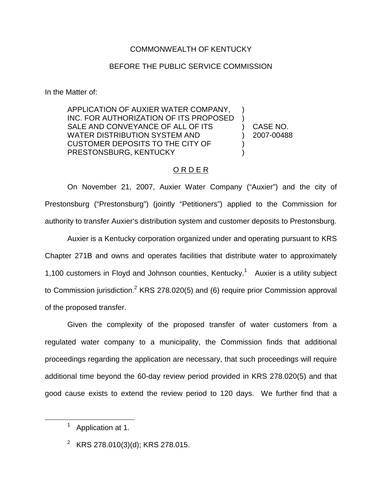### COMMONWEALTH OF KENTUCKY

#### BEFORE THE PUBLIC SERVICE COMMISSION

In the Matter of:

APPLICATION OF AUXIER WATER COMPANY, INC. FOR AUTHORIZATION OF ITS PROPOSED SALE AND CONVEYANCE OF ALL OF ITS WATER DISTRIBUTION SYSTEM AND CUSTOMER DEPOSITS TO THE CITY OF PRESTONSBURG, KENTUCKY ) ) ) CASE NO. ) 2007-00488 ) )

### O R D E R

On November 21, 2007, Auxier Water Company ("Auxier") and the city of Prestonsburg ("Prestonsburg") (jointly "Petitioners") applied to the Commission for authority to transfer Auxier's distribution system and customer deposits to Prestonsburg.

Auxier is a Kentucky corporation organized under and operating pursuant to KRS Chapter 271B and owns and operates facilities that distribute water to approximately 1,100 customers in Floyd and Johnson counties, Kentucky.<sup>1</sup> Auxier is a utility subject to Commission jurisdiction.<sup>2</sup> KRS 278.020(5) and (6) require prior Commission approval of the proposed transfer.

Given the complexity of the proposed transfer of water customers from a regulated water company to a municipality, the Commission finds that additional proceedings regarding the application are necessary, that such proceedings will require additional time beyond the 60-day review period provided in KRS 278.020(5) and that good cause exists to extend the review period to 120 days. We further find that a

<sup>&</sup>lt;sup>1</sup> Application at 1.

<sup>&</sup>lt;sup>2</sup> KRS 278.010(3)(d); KRS 278.015.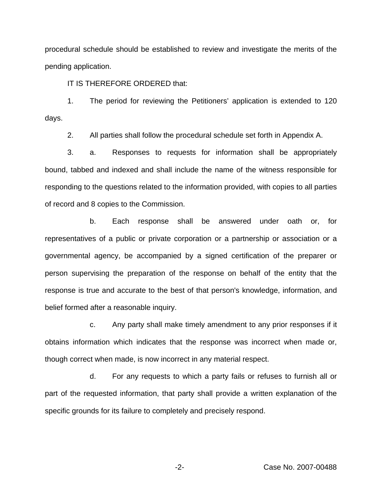procedural schedule should be established to review and investigate the merits of the pending application.

IT IS THEREFORE ORDERED that:

1. The period for reviewing the Petitioners' application is extended to 120 days.

2. All parties shall follow the procedural schedule set forth in Appendix A.

3. a. Responses to requests for information shall be appropriately bound, tabbed and indexed and shall include the name of the witness responsible for responding to the questions related to the information provided, with copies to all parties of record and 8 copies to the Commission.

b. Each response shall be answered under oath or, for representatives of a public or private corporation or a partnership or association or a governmental agency, be accompanied by a signed certification of the preparer or person supervising the preparation of the response on behalf of the entity that the response is true and accurate to the best of that person's knowledge, information, and belief formed after a reasonable inquiry.

c. Any party shall make timely amendment to any prior responses if it obtains information which indicates that the response was incorrect when made or, though correct when made, is now incorrect in any material respect.

d. For any requests to which a party fails or refuses to furnish all or part of the requested information, that party shall provide a written explanation of the specific grounds for its failure to completely and precisely respond.

-2- Case No. 2007-00488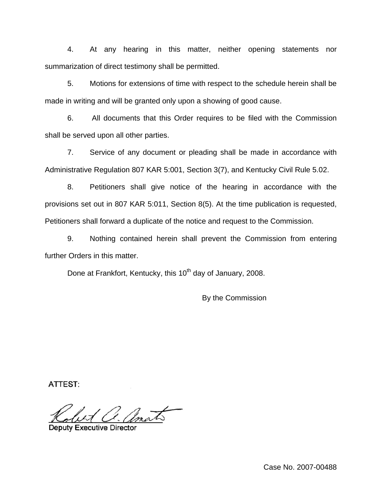4. At any hearing in this matter, neither opening statements nor summarization of direct testimony shall be permitted.

5. Motions for extensions of time with respect to the schedule herein shall be made in writing and will be granted only upon a showing of good cause.

6. All documents that this Order requires to be filed with the Commission shall be served upon all other parties.

7. Service of any document or pleading shall be made in accordance with Administrative Regulation 807 KAR 5:001, Section 3(7), and Kentucky Civil Rule 5.02.

8. Petitioners shall give notice of the hearing in accordance with the provisions set out in 807 KAR 5:011, Section 8(5). At the time publication is requested, Petitioners shall forward a duplicate of the notice and request to the Commission.

9. Nothing contained herein shall prevent the Commission from entering further Orders in this matter.

Done at Frankfort, Kentucky, this 10<sup>th</sup> day of January, 2008.

By the Commission

**ATTEST:** 

**Deputy Executive Director** 

Case No. 2007-00488